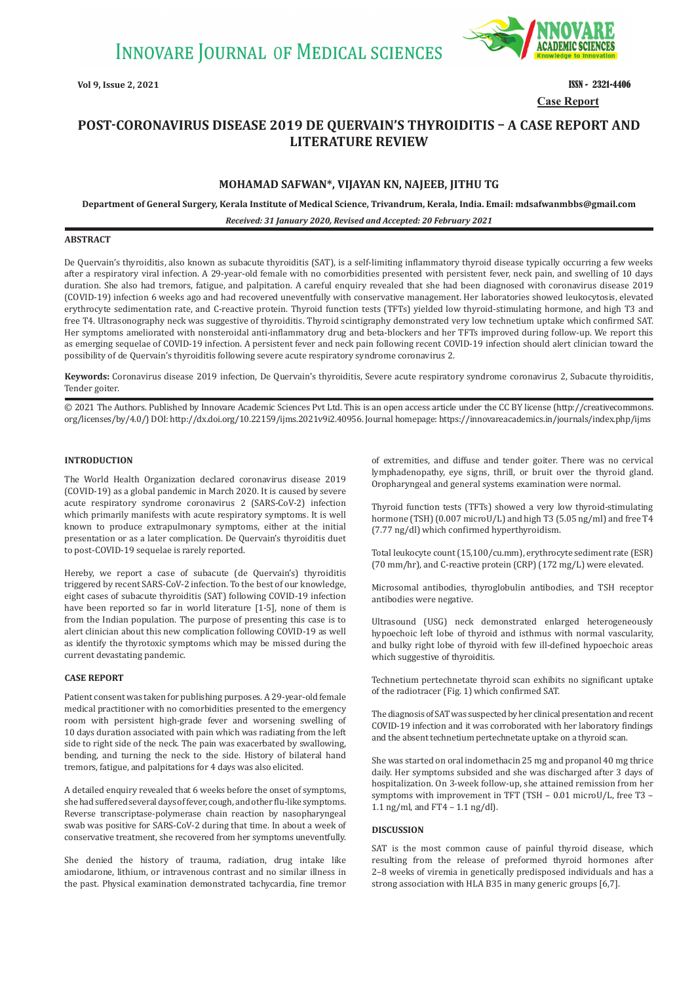

**Case Report Vol 9, Issue 2, 2021 ISSN - 2321-4406** 

# **POST-CORONAVIRUS DISEASE 2019 DE QUERVAIN'S THYROIDITIS – A CASE REPORT AND LITERATURE REVIEW**

## **MOHAMAD SAFWAN\*, VIJAYAN KN, NAJEEB, JITHU TG**

**Department of General Surgery, Kerala Institute of Medical Science, Trivandrum, Kerala, India. Email: mdsafwanmbbs@gmail.com**

*Received: 31 January 2020, Revised and Accepted: 20 February 2021*

## **ABSTRACT**

De Quervain's thyroiditis, also known as subacute thyroiditis (SAT), is a self-limiting inflammatory thyroid disease typically occurring a few weeks after a respiratory viral infection. A 29-year-old female with no comorbidities presented with persistent fever, neck pain, and swelling of 10 days duration. She also had tremors, fatigue, and palpitation. A careful enquiry revealed that she had been diagnosed with coronavirus disease 2019 (COVID-19) infection 6 weeks ago and had recovered uneventfully with conservative management. Her laboratories showed leukocytosis, elevated erythrocyte sedimentation rate, and C-reactive protein. Thyroid function tests (TFTs) yielded low thyroid-stimulating hormone, and high T3 and free T4. Ultrasonography neck was suggestive of thyroiditis. Thyroid scintigraphy demonstrated very low technetium uptake which confirmed SAT. Her symptoms ameliorated with nonsteroidal anti-inflammatory drug and beta-blockers and her TFTs improved during follow-up. We report this as emerging sequelae of COVID-19 infection. A persistent fever and neck pain following recent COVID-19 infection should alert clinician toward the possibility of de Quervain's thyroiditis following severe acute respiratory syndrome coronavirus 2.

**Keywords:** Coronavirus disease 2019 infection, De Quervain's thyroiditis, Severe acute respiratory syndrome coronavirus 2, Subacute thyroiditis, Tender goiter.

© 2021 The Authors. Published by Innovare Academic Sciences Pvt Ltd. This is an open access article under the CC BY license (http://creativecommons. org/licenses/by/4.0/) DOI: http://dx.doi.org/10.22159/ijms.2021v9i2.40956. Journal homepage: https://innovareacademics.in/journals/index.php/ijms

## **INTRODUCTION**

The World Health Organization declared coronavirus disease 2019 (COVID-19) as a global pandemic in March 2020. It is caused by severe acute respiratory syndrome coronavirus 2 (SARS-CoV-2) infection which primarily manifests with acute respiratory symptoms. It is well known to produce extrapulmonary symptoms, either at the initial presentation or as a later complication. De Quervain's thyroiditis duet to post-COVID-19 sequelae is rarely reported.

Hereby, we report a case of subacute (de Quervain's) thyroiditis triggered by recent SARS-CoV-2 infection. To the best of our knowledge, eight cases of subacute thyroiditis (SAT) following COVID-19 infection have been reported so far in world literature [1-5], none of them is from the Indian population. The purpose of presenting this case is to alert clinician about this new complication following COVID-19 as well as identify the thyrotoxic symptoms which may be missed during the current devastating pandemic.

## **CASE REPORT**

Patient consent was taken for publishing purposes. A 29-year-old female medical practitioner with no comorbidities presented to the emergency room with persistent high-grade fever and worsening swelling of 10 days duration associated with pain which was radiating from the left side to right side of the neck. The pain was exacerbated by swallowing, bending, and turning the neck to the side. History of bilateral hand tremors, fatigue, and palpitations for 4 days was also elicited.

A detailed enquiry revealed that 6 weeks before the onset of symptoms, she had suffered several days of fever, cough, and other flu-like symptoms. Reverse transcriptase-polymerase chain reaction by nasopharyngeal swab was positive for SARS-CoV-2 during that time. In about a week of conservative treatment, she recovered from her symptoms uneventfully.

She denied the history of trauma, radiation, drug intake like amiodarone, lithium, or intravenous contrast and no similar illness in the past. Physical examination demonstrated tachycardia, fine tremor of extremities, and diffuse and tender goiter. There was no cervical lymphadenopathy, eye signs, thrill, or bruit over the thyroid gland. Oropharyngeal and general systems examination were normal.

Thyroid function tests (TFTs) showed a very low thyroid-stimulating hormone (TSH) (0.007 microU/L) and high T3 (5.05 ng/ml) and free T4 (7.77 ng/dl) which confirmed hyperthyroidism.

Total leukocyte count (15,100/cu.mm), erythrocyte sediment rate (ESR) (70 mm/hr), and C-reactive protein (CRP) (172 mg/L) were elevated.

Microsomal antibodies, thyroglobulin antibodies, and TSH receptor antibodies were negative.

Ultrasound (USG) neck demonstrated enlarged heterogeneously hypoechoic left lobe of thyroid and isthmus with normal vascularity, and bulky right lobe of thyroid with few ill-defined hypoechoic areas which suggestive of thyroiditis.

Technetium pertechnetate thyroid scan exhibits no significant uptake of the radiotracer (Fig. 1) which confirmed SAT.

The diagnosis of SAT was suspected by her clinical presentation and recent COVID-19 infection and it was corroborated with her laboratory findings and the absent technetium pertechnetate uptake on a thyroid scan.

She was started on oral indomethacin 25 mg and propanol 40 mg thrice daily. Her symptoms subsided and she was discharged after 3 days of hospitalization. On 3-week follow-up, she attained remission from her symptoms with improvement in TFT (TSH – 0.01 microU/L, free T3 – 1.1 ng/ml, and FT4 – 1.1 ng/dl).

## **DISCUSSION**

SAT is the most common cause of painful thyroid disease, which resulting from the release of preformed thyroid hormones after 2–8 weeks of viremia in genetically predisposed individuals and has a strong association with HLA B35 in many generic groups [6,7].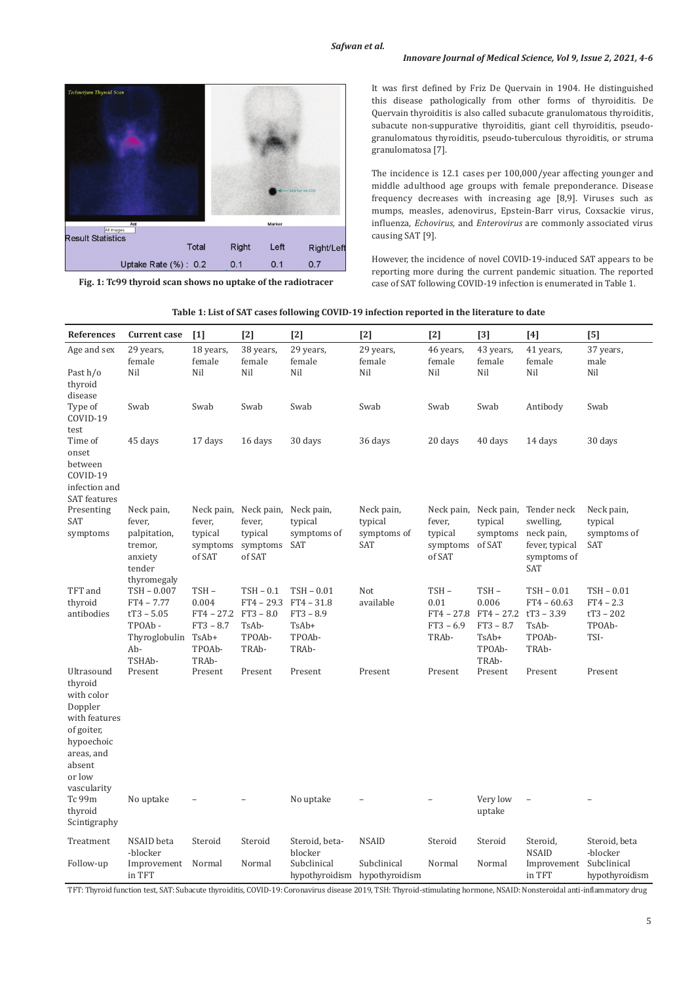

**Fig. 1: Tc99 thyroid scan shows no uptake of the radiotracer**

It was first defined by Friz De Quervain in 1904. He distinguished this disease pathologically from other forms of thyroiditis. De Quervain thyroiditis is also called subacute granulomatous thyroiditis, subacute non-suppurative thyroiditis, giant cell thyroiditis, pseudogranulomatous thyroiditis, pseudo-tuberculous thyroiditis, or struma granulomatosa [7].

The incidence is 12.1 cases per 100,000/year affecting younger and middle adulthood age groups with female preponderance. Disease frequency decreases with increasing age [8,9]. Viruses such as mumps, measles, adenovirus, Epstein-Barr virus, Coxsackie virus, influenza, *Echovirus,* and *Enterovirus* are commonly associated virus causing SAT [9].

However, the incidence of novel COVID-19-induced SAT appears to be reporting more during the current pandemic situation. The reported case of SAT following COVID-19 infection is enumerated in Table 1.

| Table 1: List of SAT cases following COVID-19 infection reported in the literature to date |
|--------------------------------------------------------------------------------------------|
|--------------------------------------------------------------------------------------------|

| <b>References</b>                                                                                                                            | <b>Current case</b>                                                                     | $[1]$                                                                    | $[2]$                                                                | $[2]$                                                                   | $[2]$                                       | $[2]$                                                   | $[3]$                                                                    | $[4]$                                                                                 | [5]                                                      |
|----------------------------------------------------------------------------------------------------------------------------------------------|-----------------------------------------------------------------------------------------|--------------------------------------------------------------------------|----------------------------------------------------------------------|-------------------------------------------------------------------------|---------------------------------------------|---------------------------------------------------------|--------------------------------------------------------------------------|---------------------------------------------------------------------------------------|----------------------------------------------------------|
| Age and sex<br>Past h/o<br>thyroid                                                                                                           | 29 years,<br>female<br>Nil                                                              | 18 years,<br>female<br>Nil                                               | 38 years,<br>female<br>Nil                                           | 29 years,<br>female<br>Nil                                              | 29 years,<br>female<br>Nil                  | 46 years,<br>female<br>Nil                              | 43 years,<br>female<br>Nil                                               | 41 years,<br>female<br>Nil                                                            | 37 years,<br>male<br>Nil                                 |
| disease<br>Type of<br>COVID-19<br>test                                                                                                       | Swab                                                                                    | Swab                                                                     | Swab                                                                 | Swab                                                                    | Swab                                        | Swab                                                    | Swab                                                                     | Antibody                                                                              | Swab                                                     |
| Time of<br>onset<br>between<br>COVID-19<br>infection and<br><b>SAT</b> features                                                              | 45 days                                                                                 | 17 days                                                                  | 16 days                                                              | 30 days                                                                 | 36 days                                     | 20 days                                                 | 40 days                                                                  | 14 days                                                                               | 30 days                                                  |
| Presenting<br>SAT<br>symptoms                                                                                                                | Neck pain,<br>fever,<br>palpitation,<br>tremor,<br>anxiety<br>tender<br>thyromegaly     | Neck pain,<br>fever,<br>typical<br>symptoms<br>of SAT                    | Neck pain,<br>fever,<br>typical<br>symptoms<br>of SAT                | Neck pain,<br>typical<br>symptoms of<br>SAT                             | Neck pain,<br>typical<br>symptoms of<br>SAT | Neck pain,<br>fever,<br>typical<br>symptoms<br>of SAT   | Neck pain,<br>typical<br>symptoms<br>of SAT                              | Tender neck<br>swelling,<br>neck pain,<br>fever, typical<br>symptoms of<br><b>SAT</b> | Neck pain,<br>typical<br>symptoms of<br>SAT              |
| TFT and<br>thyroid<br>antibodies                                                                                                             | TSH - 0.007<br>$FT4 - 7.77$<br>$tT3 - 5.05$<br>TPOAb-<br>Thyroglobulin<br>Ab-<br>TSHAb- | TSH-<br>0.004<br>$FT4 - 27.2$<br>$FT3 - 8.7$<br>TsAb+<br>TPOAb-<br>TRAb- | TSH - 0.1<br>$FT4 - 29.3$<br>$FT3 - 8.0$<br>TsAb-<br>TPOAb-<br>TRAb- | $TSH - 0.01$<br>$FT4 - 31.8$<br>$FT3 - 8.9$<br>TsAb+<br>TPOAb-<br>TRAb- | Not<br>available                            | $TSH -$<br>0.01<br>$FT4 - 27.8$<br>$FT3 - 6.9$<br>TRAb- | TSH-<br>0.006<br>$FT4 - 27.2$<br>$FT3 - 8.7$<br>TsAb+<br>TPOAb-<br>TRAb- | $TSH - 0.01$<br>$FT4 - 60.63$<br>$tT3 - 3.39$<br>TsAb-<br>TPOAb-<br>TRAb-             | TSH-0.01<br>$FT4 - 2.3$<br>$tT3 - 202$<br>TPOAb-<br>TSI- |
| Ultrasound<br>thyroid<br>with color<br>Doppler<br>with features<br>of goiter,<br>hypoechoic<br>areas, and<br>absent<br>or low<br>vascularity | Present                                                                                 | Present                                                                  | Present                                                              | Present                                                                 | Present                                     | Present                                                 | Present                                                                  | Present                                                                               | Present                                                  |
| Tc 99m<br>thyroid<br>Scintigraphy                                                                                                            | No uptake                                                                               |                                                                          |                                                                      | No uptake                                                               |                                             |                                                         | Very low<br>uptake                                                       |                                                                                       |                                                          |
| Treatment                                                                                                                                    | NSAID beta<br>-blocker                                                                  | Steroid                                                                  | Steroid                                                              | Steroid, beta-<br>blocker                                               | <b>NSAID</b>                                | Steroid                                                 | Steroid                                                                  | Steroid,<br><b>NSAID</b>                                                              | Steroid, beta<br>-blocker                                |
| Follow-up                                                                                                                                    | Improvement<br>in TFT                                                                   | Normal                                                                   | Normal                                                               | Subclinical<br>hypothyroidism                                           | Subclinical<br>hypothyroidism               | Normal                                                  | Normal                                                                   | Improvement<br>in TFT                                                                 | Subclinical<br>hypothyroidism                            |

TFT: Thyroid function test, SAT: Subacute thyroiditis, COVID-19: Coronavirus disease 2019, TSH: Thyroid-stimulating hormone, NSAID: Nonsteroidal anti-inflammatory drug